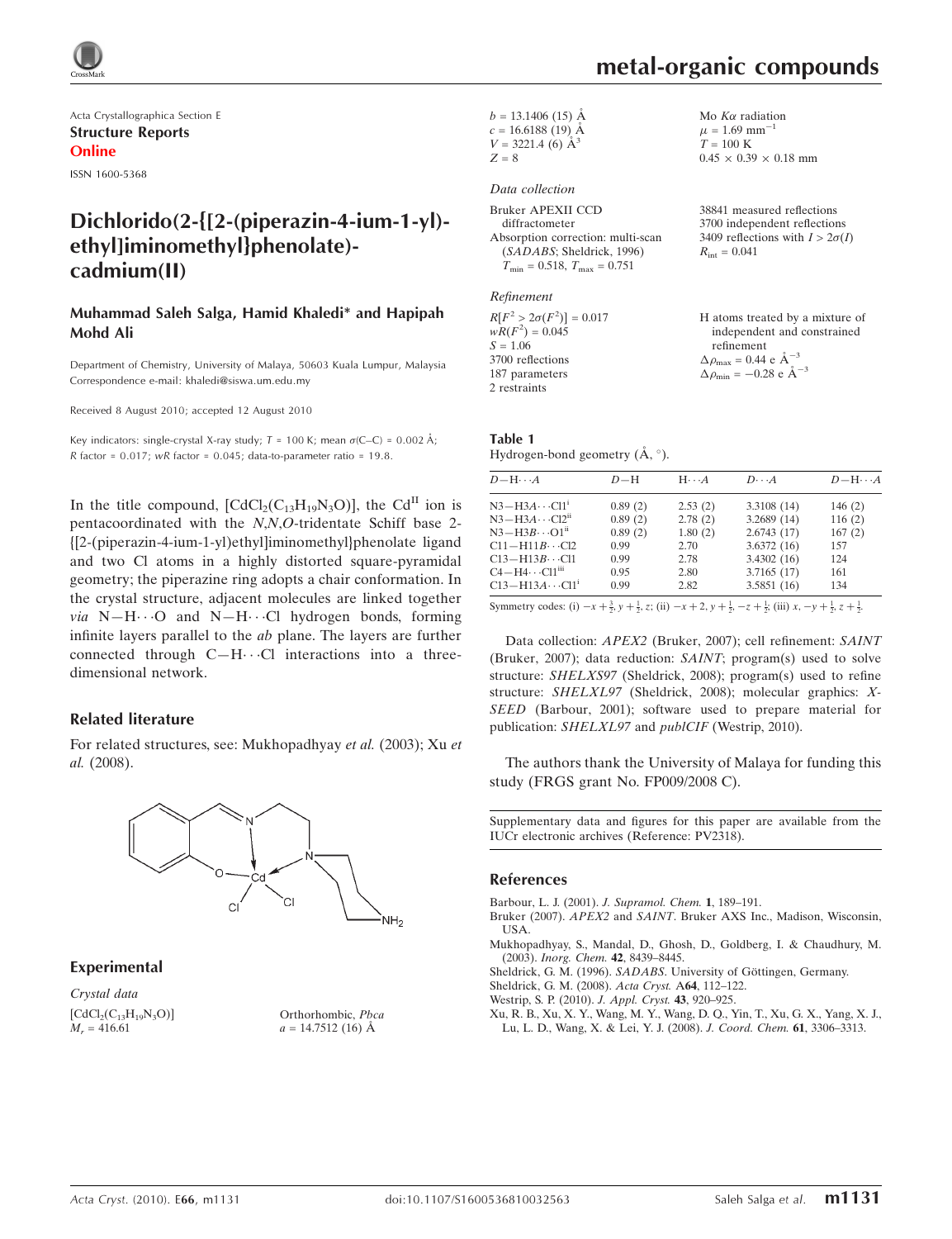

Acta Crystallographica Section E Structure Reports Online

ISSN 1600-5368

# Dichlorido(2-{[2-(piperazin-4-ium-1-yl) ethyl]iminomethyl}phenolate) cadmium(II)

#### Muhammad Saleh Salga, Hamid Khaledi\* and Hapipah Mohd Ali

Department of Chemistry, University of Malaya, 50603 Kuala Lumpur, Malaysia Correspondence e-mail: khaledi@siswa.um.edu.my

Received 8 August 2010; accepted 12 August 2010

Key indicators: single-crystal X-ray study;  $T = 100$  K; mean  $\sigma$ (C–C) = 0.002 Å; R factor =  $0.017$ ; wR factor =  $0.045$ ; data-to-parameter ratio =  $19.8$ .

In the title compound,  $[CdCl<sub>2</sub>(C<sub>13</sub>H<sub>19</sub>N<sub>3</sub>O)]$ , the Cd<sup>II</sup> ion is pentacoordinated with the N,N,O-tridentate Schiff base 2- {[2-(piperazin-4-ium-1-yl)ethyl]iminomethyl}phenolate ligand and two Cl atoms in a highly distorted square-pyramidal geometry; the piperazine ring adopts a chair conformation. In the crystal structure, adjacent molecules are linked together via  $N-H\cdots O$  and  $N-H\cdots Cl$  hydrogen bonds, forming infinite layers parallel to the ab plane. The layers are further connected through  $C-H\cdots Cl$  interactions into a threedimensional network.

#### Related literature

For related structures, see: Mukhopadhyay et al. (2003); Xu et al. (2008).



Experimental

Crystal data  $[CdCl<sub>2</sub>(C<sub>13</sub>H<sub>19</sub>N<sub>3</sub>O)]$  $M_r = 416.61$ 

Orthorhombic, Pbca  $a = 14.7512(16)$  Å

 $b = 13.1406$  (15) Å  $c = 16.6188(19)$  Å  $V = 3221.4$  (6)  $\AA^3$  $Z = 8$ 

#### Data collection

Bruker APEXII CCD diffractometer Absorption correction: multi-scan (SADABS; Sheldrick, 1996)  $T_{\text{min}} = 0.518, T_{\text{max}} = 0.751$ 

Refinement

 $R[F^2 > 2\sigma(F^2)] = 0.017$  $wR(F^2) = 0.045$  $S = 1.06$ 3700 reflections 187 parameters 2 restraints

Mo  $K\alpha$  radiation  $\mu$  = 1.69 mm<sup>-1</sup>  $T = 100 K$  $0.45 \times 0.39 \times 0.18$  mm

metal-organic compounds

38841 measured reflections 3700 independent reflections 3409 reflections with  $I > 2\sigma(I)$  $R_{\text{int}} = 0.041$ 

H atoms treated by a mixture of independent and constrained refinement  $\Delta \rho_{\text{max}} = 0.44 \text{ e A}^{-3}$  $\Delta \rho_{\rm min} = -0.28 \text{ e } \text{\AA}^{-3}$ 

# Table 1

Hydrogen-bond geometry  $(\AA, \degree)$ .

| $D - H \cdots A$        | $D-H$   | $H \cdot \cdot \cdot A$ | $D\cdots A$ | $D - H \cdots A$ |
|-------------------------|---------|-------------------------|-------------|------------------|
| $N3-H3A\cdots Cl1^i$    | 0.89(2) | 2.53(2)                 | 3.3108 (14) | 146(2)           |
| $N3-H3A\cdots Cl2n$     | 0.89(2) | 2.78(2)                 | 3.2689(14)  | 116(2)           |
| $N3-H3B\cdots O1^{ii}$  | 0.89(2) | 1.80(2)                 | 2.6743(17)  | 167(2)           |
| $C11 - H11B \cdots C12$ | 0.99    | 2.70                    | 3.6372(16)  | 157              |
| $C13 - H13B \cdots C11$ | 0.99    | 2.78                    | 3.4302(16)  | 124              |
| $C4 - H4 \cdots C11m$   | 0.95    | 2.80                    | 3.7165(17)  | 161              |
| $C13 - H13A \cdots C11$ | 0.99    | 2.82                    | 3.5851(16)  | 134              |
|                         |         |                         |             |                  |

Symmetry codes: (i)  $-x + \frac{3}{2}$ ,  $y + \frac{1}{2}$ , z; (ii)  $-x + 2$ ,  $y + \frac{1}{2}$ ,  $-z + \frac{1}{2}$ ; (iii)  $x, -y + \frac{1}{2}$ ,  $z + \frac{1}{2}$ .

Data collection: APEX2 (Bruker, 2007); cell refinement: SAINT (Bruker, 2007); data reduction: SAINT; program(s) used to solve structure: SHELXS97 (Sheldrick, 2008); program(s) used to refine structure: SHELXL97 (Sheldrick, 2008); molecular graphics: X-SEED (Barbour, 2001); software used to prepare material for publication: SHELXL97 and publCIF (Westrip, 2010).

The authors thank the University of Malaya for funding this study (FRGS grant No. FP009/2008 C).

Supplementary data and figures for this paper are available from the IUCr electronic archives (Reference: PV2318).

#### References

[Barbour, L. J. \(2001\).](https://scripts.iucr.org/cgi-bin/cr.cgi?rm=pdfbb&cnor=pv2318&bbid=BB1) J. Supramol. Chem. 1, 189–191.

- Bruker (2007). APEX2 and SAINT[. Bruker AXS Inc., Madison, Wisconsin,](https://scripts.iucr.org/cgi-bin/cr.cgi?rm=pdfbb&cnor=pv2318&bbid=BB2) [USA.](https://scripts.iucr.org/cgi-bin/cr.cgi?rm=pdfbb&cnor=pv2318&bbid=BB2)
- [Mukhopadhyay, S., Mandal, D., Ghosh, D., Goldberg, I. & Chaudhury, M.](https://scripts.iucr.org/cgi-bin/cr.cgi?rm=pdfbb&cnor=pv2318&bbid=BB3) (2003). [Inorg. Chem.](https://scripts.iucr.org/cgi-bin/cr.cgi?rm=pdfbb&cnor=pv2318&bbid=BB3) 42, 8439–8445.
- Sheldrick, G. M. (1996). SADABS. University of Göttingen, Germany.
- [Sheldrick, G. M. \(2008\).](https://scripts.iucr.org/cgi-bin/cr.cgi?rm=pdfbb&cnor=pv2318&bbid=BB5) Acta Cryst. A64, 112–122.
- [Westrip, S. P. \(2010\).](https://scripts.iucr.org/cgi-bin/cr.cgi?rm=pdfbb&cnor=pv2318&bbid=BB6) J. Appl. Cryst. 43, 920–925.
- [Xu, R. B., Xu, X. Y., Wang, M. Y., Wang, D. Q., Yin, T., Xu, G. X., Yang, X. J.,](https://scripts.iucr.org/cgi-bin/cr.cgi?rm=pdfbb&cnor=pv2318&bbid=BB7) [Lu, L. D., Wang, X. & Lei, Y. J. \(2008\).](https://scripts.iucr.org/cgi-bin/cr.cgi?rm=pdfbb&cnor=pv2318&bbid=BB7) J. Coord. Chem. 61, 3306–3313.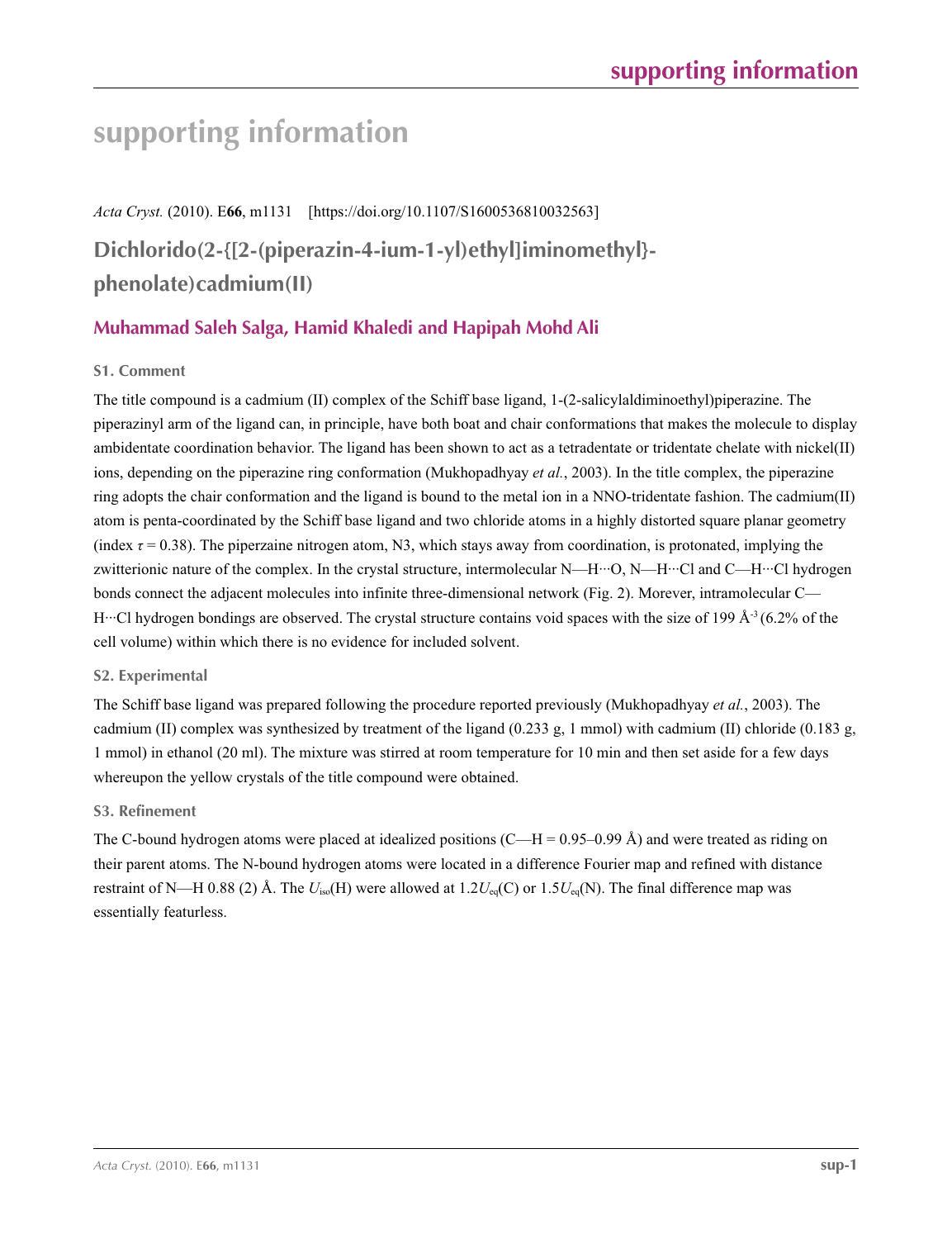# **supporting information**

*Acta Cryst.* (2010). E**66**, m1131 [https://doi.org/10.1107/S1600536810032563]

**Dichlorido(2-{[2-(piperazin-4-ium-1-yl)ethyl]iminomethyl} phenolate)cadmium(II)**

# **Muhammad Saleh Salga, Hamid Khaledi and Hapipah Mohd Ali**

# **S1. Comment**

The title compound is a cadmium (II) complex of the Schiff base ligand, 1-(2-salicylaldiminoethyl)piperazine. The piperazinyl arm of the ligand can, in principle, have both boat and chair conformations that makes the molecule to display ambidentate coordination behavior. The ligand has been shown to act as a tetradentate or tridentate chelate with nickel(II) ions, depending on the piperazine ring conformation (Mukhopadhyay *et al.*, 2003). In the title complex, the piperazine ring adopts the chair conformation and the ligand is bound to the metal ion in a NNO-tridentate fashion. The cadmium(II) atom is penta-coordinated by the Schiff base ligand and two chloride atoms in a highly distorted square planar geometry (index  $\tau$  = 0.38). The piperzaine nitrogen atom, N3, which stays away from coordination, is protonated, implying the zwitterionic nature of the complex. In the crystal structure, intermolecular N—H···O, N—H···Cl and C—H···Cl hydrogen bonds connect the adjacent molecules into infinite three-dimensional network (Fig. 2). Morever, intramolecular C— H···Cl hydrogen bondings are observed. The crystal structure contains void spaces with the size of 199 Å<sup>-3</sup> (6.2% of the cell volume) within which there is no evidence for included solvent.

## **S2. Experimental**

The Schiff base ligand was prepared following the procedure reported previously (Mukhopadhyay *et al.*, 2003). The cadmium (II) complex was synthesized by treatment of the ligand (0.233 g, 1 mmol) with cadmium (II) chloride (0.183 g, 1 mmol) in ethanol (20 ml). The mixture was stirred at room temperature for 10 min and then set aside for a few days whereupon the yellow crystals of the title compound were obtained.

## **S3. Refinement**

The C-bound hydrogen atoms were placed at idealized positions  $(C-H = 0.95-0.99 \text{ Å})$  and were treated as riding on their parent atoms. The N-bound hydrogen atoms were located in a difference Fourier map and refined with distance restraint of N—H 0.88 (2) Å. The *U*iso(H) were allowed at 1.2*U*eq(C) or 1.5*U*eq(N). The final difference map was essentially featurless.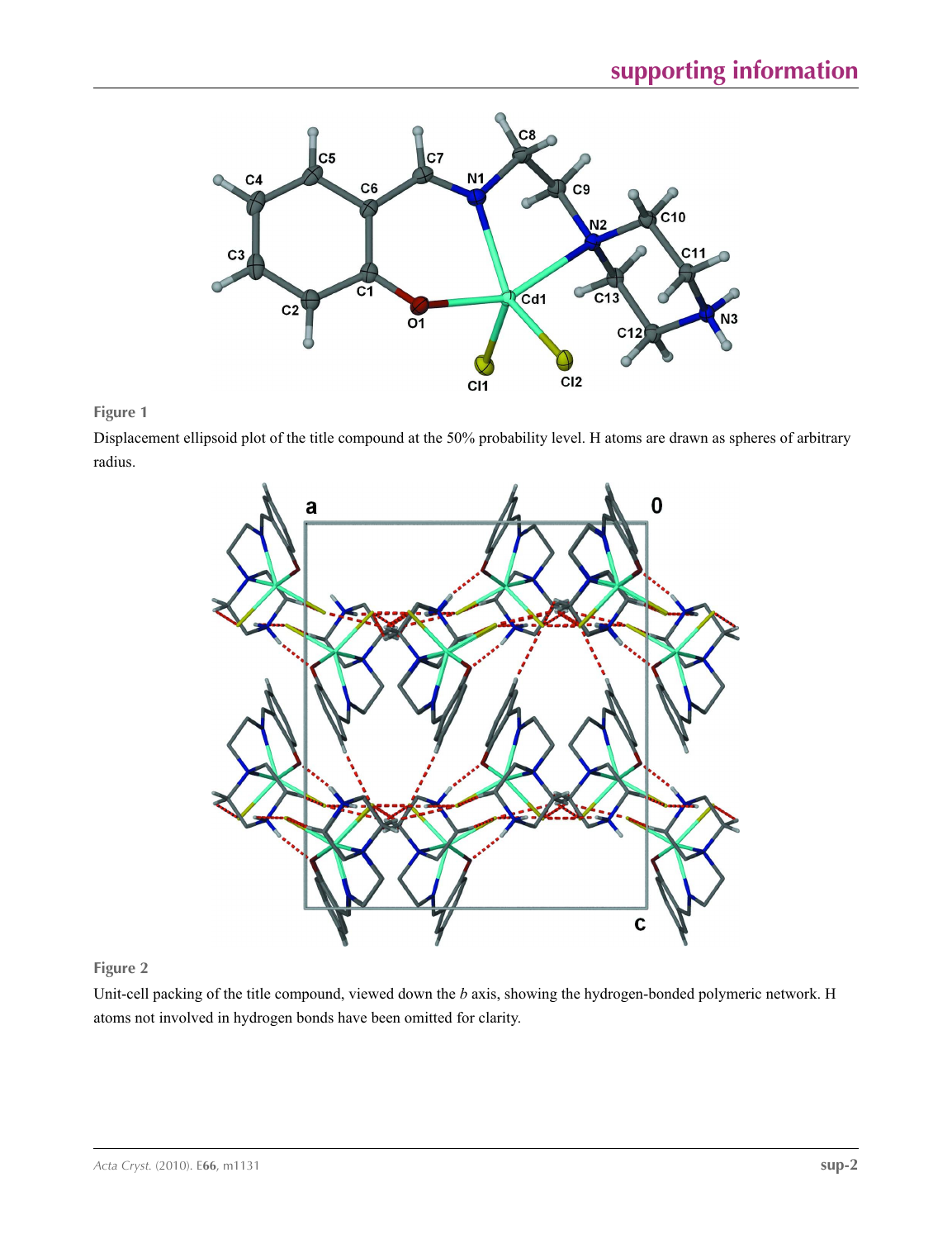

# **Figure 1**

Displacement ellipsoid plot of the title compound at the 50% probability level. H atoms are drawn as spheres of arbitrary radius.



## **Figure 2**

Unit-cell packing of the title compound, viewed down the *b* axis, showing the hydrogen-bonded polymeric network. H atoms not involved in hydrogen bonds have been omitted for clarity.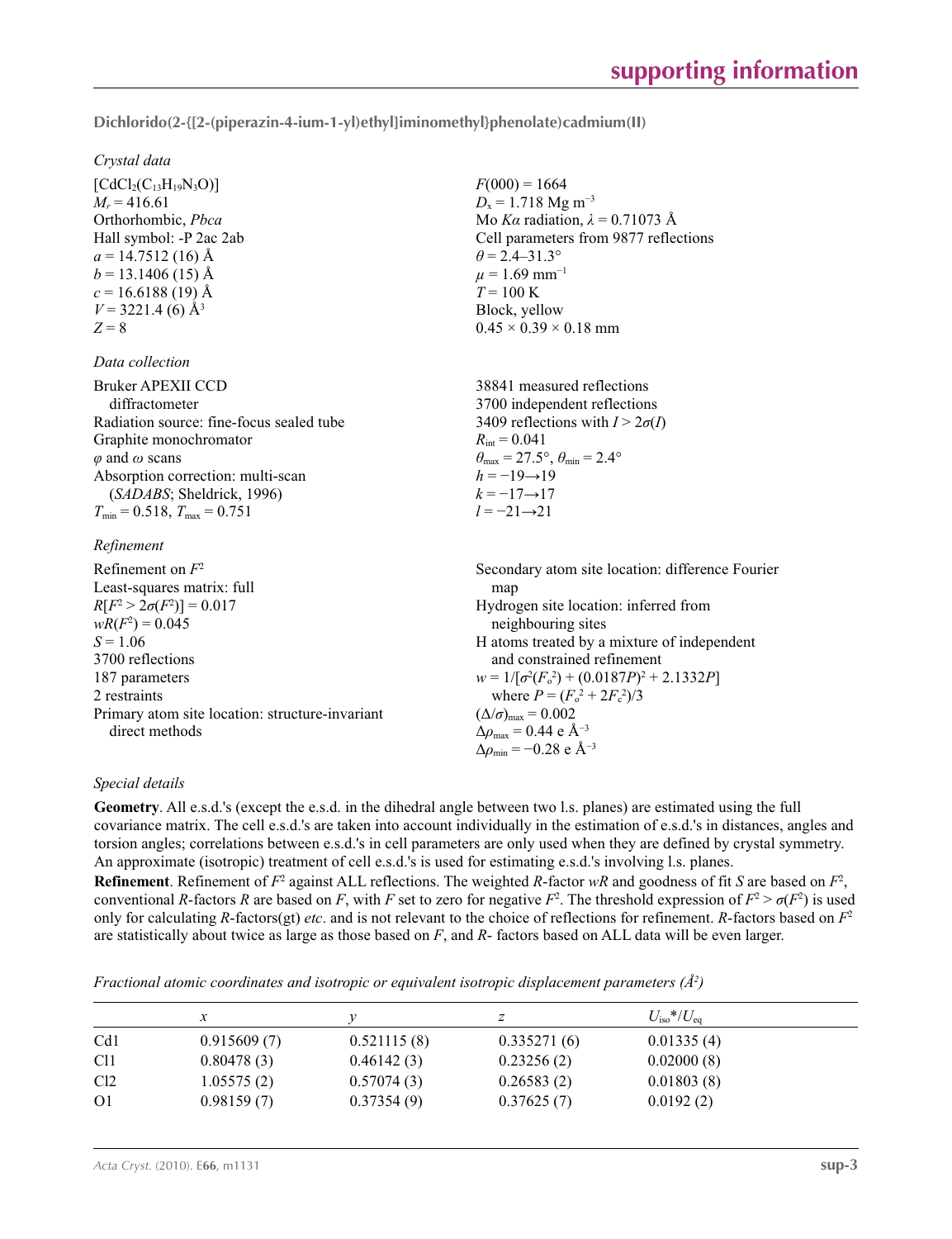**Dichlorido(2-{[2-(piperazin-4-ium-1-yl)ethyl]iminomethyl}phenolate)cadmium(II)** 

 $F(000) = 1664$  $D_x = 1.718$  Mg m<sup>-3</sup>

 $\theta$  = 2.4–31.3°  $\mu$  = 1.69 mm<sup>-1</sup>  $T = 100 \text{ K}$ Block, yellow

 $R_{\text{int}} = 0.041$ 

 $h = -19 \rightarrow 19$  $k = -17 \rightarrow 17$ *l* = −21→21

 $0.45 \times 0.39 \times 0.18$  mm

 $\theta_{\text{max}} = 27.5^{\circ}, \theta_{\text{min}} = 2.4^{\circ}$ 

38841 measured reflections 3700 independent reflections 3409 reflections with  $I > 2\sigma(I)$ 

Mo *Kα* radiation, *λ* = 0.71073 Å Cell parameters from 9877 reflections

#### *Crystal data*

 $[CdCl<sub>2</sub>(C<sub>13</sub>H<sub>19</sub>N<sub>3</sub>O)]$  $M_r = 416.61$ Orthorhombic, *Pbca* Hall symbol: -P 2ac 2ab  $a = 14.7512(16)$  Å  $b = 13.1406(15)$  Å  $c = 16.6188(19)$  Å  $V = 3221.4$  (6)  $\AA$ <sup>3</sup>  $Z = 8$ 

#### *Data collection*

| Bruker APEXII CCD                        |
|------------------------------------------|
| diffractometer                           |
| Radiation source: fine-focus sealed tube |
| Graphite monochromator                   |
| $\varphi$ and $\omega$ scans             |
| Absorption correction: multi-scan        |
| (SADABS; Sheldrick, 1996)                |
| $T_{\min}$ = 0.518, $T_{\max}$ = 0.751   |

### *Refinement*

| 1000000000000                                   |                                                    |
|-------------------------------------------------|----------------------------------------------------|
| Refinement on $F^2$                             | Secondary atom site location: difference Fourier   |
| Least-squares matrix: full                      | map                                                |
| $R[F^2 > 2\sigma(F^2)] = 0.017$                 | Hydrogen site location: inferred from              |
| $wR(F^2) = 0.045$                               | neighbouring sites                                 |
| $S = 1.06$                                      | H atoms treated by a mixture of independent        |
| 3700 reflections                                | and constrained refinement                         |
| 187 parameters                                  | $w = 1/[\sigma^2(F_0^2) + (0.0187P)^2 + 2.1332P]$  |
| 2 restraints                                    | where $P = (F_o^2 + 2F_c^2)/3$                     |
| Primary atom site location: structure-invariant | $(\Delta/\sigma)_{\text{max}} = 0.002$             |
| direct methods                                  | $\Delta\rho_{\text{max}} = 0.44$ e Å <sup>-3</sup> |
|                                                 | $\Delta\rho_{\rm min} = -0.28$ e Å <sup>-3</sup>   |

#### *Special details*

**Geometry**. All e.s.d.'s (except the e.s.d. in the dihedral angle between two l.s. planes) are estimated using the full covariance matrix. The cell e.s.d.'s are taken into account individually in the estimation of e.s.d.'s in distances, angles and torsion angles; correlations between e.s.d.'s in cell parameters are only used when they are defined by crystal symmetry. An approximate (isotropic) treatment of cell e.s.d.'s is used for estimating e.s.d.'s involving l.s. planes. **Refinement**. Refinement of  $F^2$  against ALL reflections. The weighted *R*-factor  $wR$  and goodness of fit *S* are based on  $F^2$ , conventional *R*-factors *R* are based on *F*, with *F* set to zero for negative  $F^2$ . The threshold expression of  $F^2 > \sigma(F^2)$  is used only for calculating *R*-factors(gt) *etc*. and is not relevant to the choice of reflections for refinement. *R*-factors based on *F*<sup>2</sup> are statistically about twice as large as those based on *F*, and *R*- factors based on ALL data will be even larger.

*Fractional atomic coordinates and isotropic or equivalent isotropic displacement parameters (Å2 )*

|                 | $\mathcal{X}$ |             |             | $U_{\rm iso}*/U_{\rm eq}$ |  |
|-----------------|---------------|-------------|-------------|---------------------------|--|
| Cd1             | 0.915609(7)   | 0.521115(8) | 0.335271(6) | 0.01335(4)                |  |
| C <sub>11</sub> | 0.80478(3)    | 0.46142(3)  | 0.23256(2)  | 0.02000(8)                |  |
| Cl <sub>2</sub> | 1.05575(2)    | 0.57074(3)  | 0.26583(2)  | 0.01803(8)                |  |
| O <sub>1</sub>  | 0.98159(7)    | 0.37354(9)  | 0.37625(7)  | 0.0192(2)                 |  |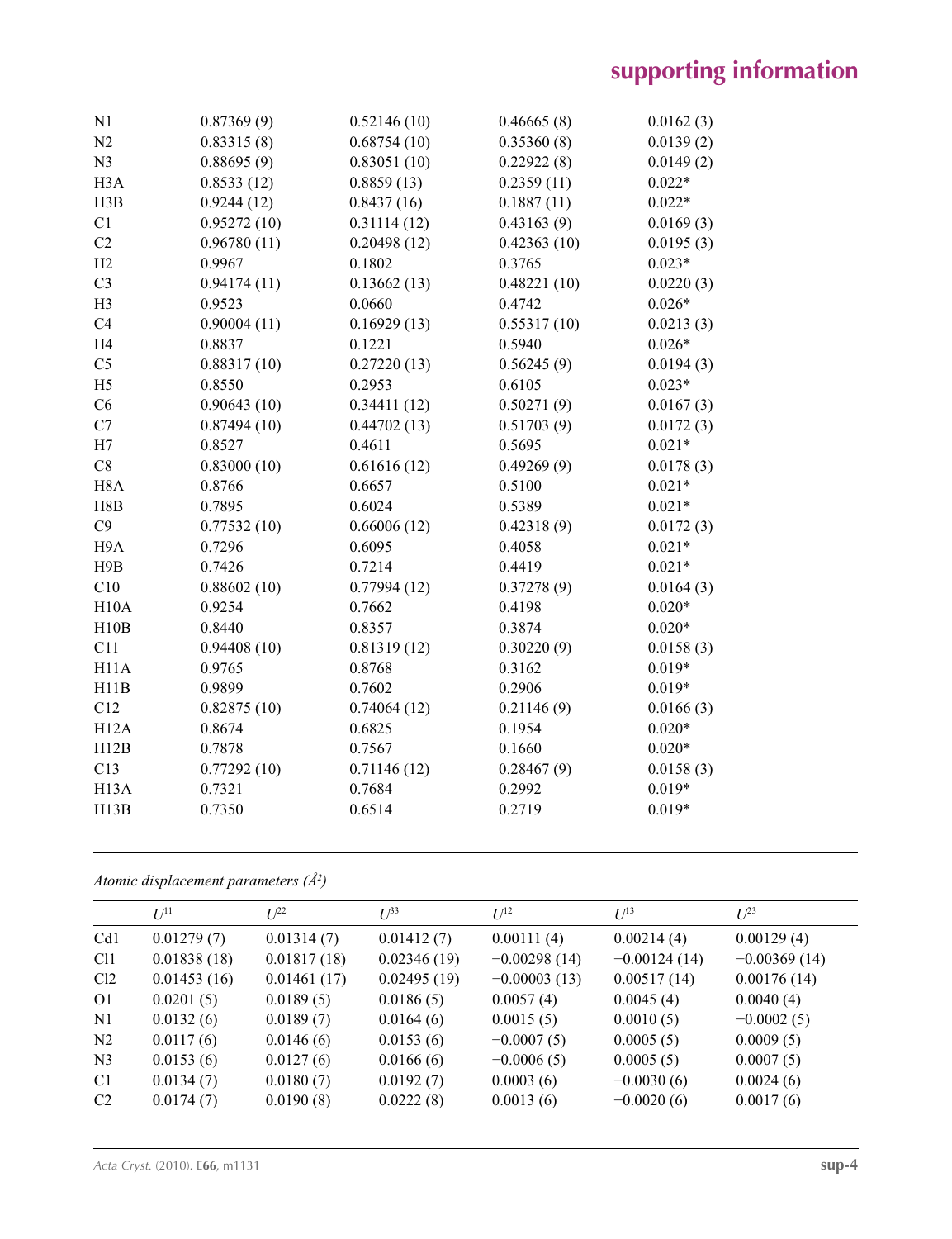| N1                | 0.87369(9)  | 0.52146(10) | 0.46665(8)  | 0.0162(3) |
|-------------------|-------------|-------------|-------------|-----------|
| N <sub>2</sub>    | 0.83315(8)  | 0.68754(10) | 0.35360(8)  | 0.0139(2) |
| N <sub>3</sub>    | 0.88695(9)  | 0.83051(10) | 0.22922(8)  | 0.0149(2) |
| H <sub>3</sub> A  | 0.8533(12)  | 0.8859(13)  | 0.2359(11)  | $0.022*$  |
| H3B               | 0.9244(12)  | 0.8437(16)  | 0.1887(11)  | $0.022*$  |
| C1                | 0.95272(10) | 0.31114(12) | 0.43163(9)  | 0.0169(3) |
| C2                | 0.96780(11) | 0.20498(12) | 0.42363(10) | 0.0195(3) |
| H2                | 0.9967      | 0.1802      | 0.3765      | $0.023*$  |
| C <sub>3</sub>    | 0.94174(11) | 0.13662(13) | 0.48221(10) | 0.0220(3) |
| H <sub>3</sub>    | 0.9523      | 0.0660      | 0.4742      | $0.026*$  |
| C4                | 0.90004(11) | 0.16929(13) | 0.55317(10) | 0.0213(3) |
| H <sub>4</sub>    | 0.8837      | 0.1221      | 0.5940      | $0.026*$  |
| C <sub>5</sub>    | 0.88317(10) | 0.27220(13) | 0.56245(9)  | 0.0194(3) |
| H <sub>5</sub>    | 0.8550      | 0.2953      | 0.6105      | $0.023*$  |
| C6                | 0.90643(10) | 0.34411(12) | 0.50271(9)  | 0.0167(3) |
| C7                | 0.87494(10) | 0.44702(13) | 0.51703(9)  | 0.0172(3) |
| H7                | 0.8527      | 0.4611      | 0.5695      | $0.021*$  |
| C8                | 0.83000(10) | 0.61616(12) | 0.49269(9)  | 0.0178(3) |
| H <sub>8</sub> A  | 0.8766      | 0.6657      | 0.5100      | $0.021*$  |
| H8B               | 0.7895      | 0.6024      | 0.5389      | $0.021*$  |
| C9                | 0.77532(10) | 0.66006(12) | 0.42318(9)  | 0.0172(3) |
| H <sub>9</sub> A  | 0.7296      | 0.6095      | 0.4058      | $0.021*$  |
| H9B               | 0.7426      | 0.7214      | 0.4419      | $0.021*$  |
| C10               | 0.88602(10) | 0.77994(12) | 0.37278(9)  | 0.0164(3) |
| H10A              | 0.9254      | 0.7662      | 0.4198      | $0.020*$  |
| H10B              | 0.8440      | 0.8357      | 0.3874      | $0.020*$  |
| C11               | 0.94408(10) | 0.81319(12) | 0.30220(9)  | 0.0158(3) |
| H11A              | 0.9765      | 0.8768      | 0.3162      | $0.019*$  |
| H11B              | 0.9899      | 0.7602      | 0.2906      | $0.019*$  |
| C12               | 0.82875(10) | 0.74064(12) | 0.21146(9)  | 0.0166(3) |
| H12A              | 0.8674      | 0.6825      | 0.1954      | $0.020*$  |
| H12B              | 0.7878      | 0.7567      | 0.1660      | $0.020*$  |
| C13               | 0.77292(10) | 0.71146(12) | 0.28467(9)  | 0.0158(3) |
| H <sub>13</sub> A | 0.7321      | 0.7684      | 0.2992      | $0.019*$  |
| H13B              | 0.7350      | 0.6514      | 0.2719      | $0.019*$  |
|                   |             |             |             |           |

*Atomic displacement parameters (Å2 )*

|                 | $U^{11}$    | $L^{22}$    | $U^{33}$    | $U^{12}$       | $I^{13}$       | $U^{23}$       |
|-----------------|-------------|-------------|-------------|----------------|----------------|----------------|
| Cd <sub>1</sub> | 0.01279(7)  | 0.01314(7)  | 0.01412(7)  | 0.00111(4)     | 0.00214(4)     | 0.00129(4)     |
| C <sub>11</sub> | 0.01838(18) | 0.01817(18) | 0.02346(19) | $-0.00298(14)$ | $-0.00124(14)$ | $-0.00369(14)$ |
| Cl2             | 0.01453(16) | 0.01461(17) | 0.02495(19) | $-0.00003(13)$ | 0.00517(14)    | 0.00176(14)    |
| O <sub>1</sub>  | 0.0201(5)   | 0.0189(5)   | 0.0186(5)   | 0.0057(4)      | 0.0045(4)      | 0.0040(4)      |
| N1              | 0.0132(6)   | 0.0189(7)   | 0.0164(6)   | 0.0015(5)      | 0.0010(5)      | $-0.0002(5)$   |
| N <sub>2</sub>  | 0.0117(6)   | 0.0146(6)   | 0.0153(6)   | $-0.0007(5)$   | 0.0005(5)      | 0.0009(5)      |
| N <sub>3</sub>  | 0.0153(6)   | 0.0127(6)   | 0.0166(6)   | $-0.0006(5)$   | 0.0005(5)      | 0.0007(5)      |
| C <sub>1</sub>  | 0.0134(7)   | 0.0180(7)   | 0.0192(7)   | 0.0003(6)      | $-0.0030(6)$   | 0.0024(6)      |
| C2              | 0.0174(7)   | 0.0190(8)   | 0.0222(8)   | 0.0013(6)      | $-0.0020(6)$   | 0.0017(6)      |
|                 |             |             |             |                |                |                |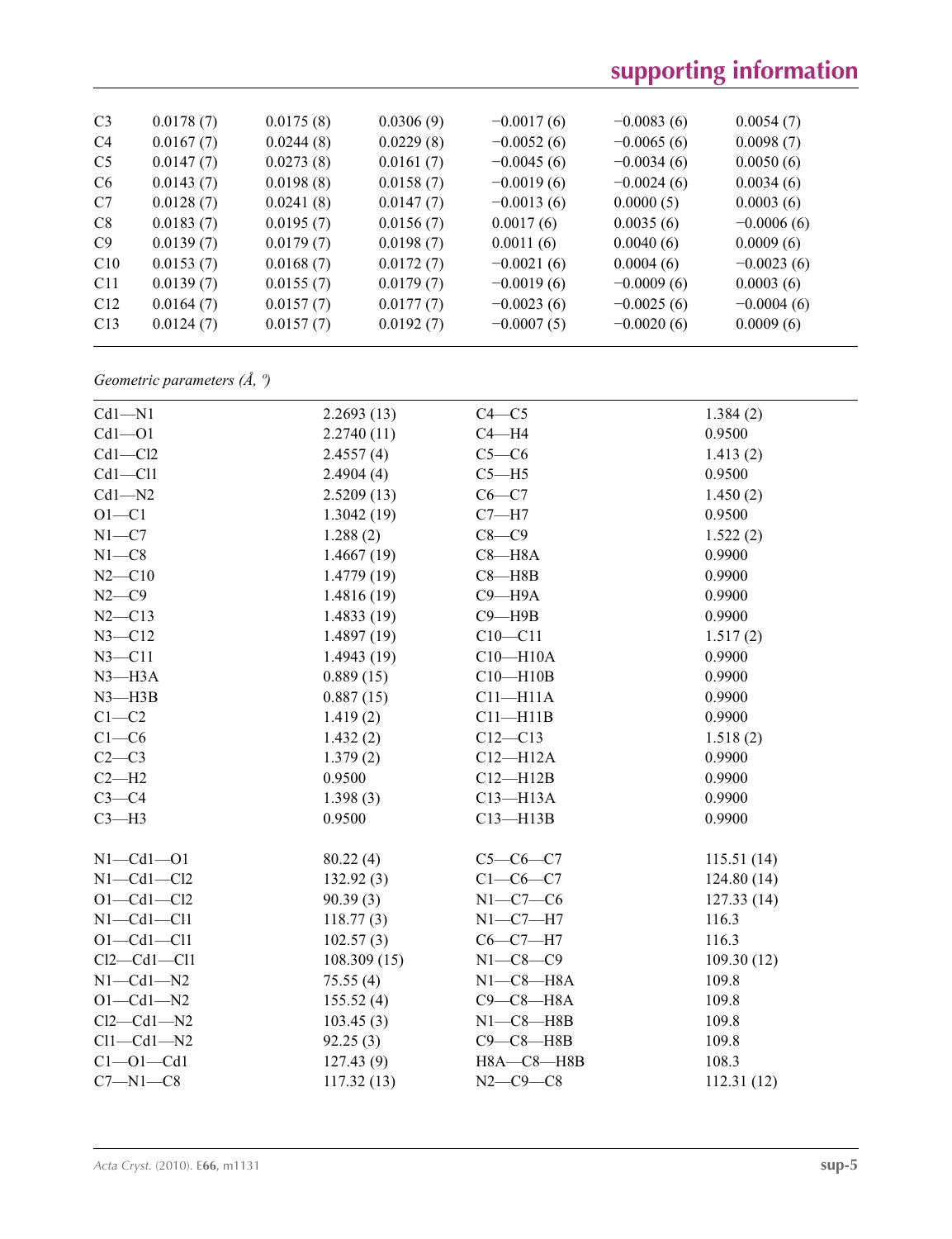# **supporting information**

| C <sub>3</sub> | 0.0178(7) | 0.0175(8) | 0.0306(9) | $-0.0017(6)$ | $-0.0083(6)$ | 0.0054(7)    |  |
|----------------|-----------|-----------|-----------|--------------|--------------|--------------|--|
| C <sub>4</sub> | 0.0167(7) | 0.0244(8) | 0.0229(8) | $-0.0052(6)$ | $-0.0065(6)$ | 0.0098(7)    |  |
| C <sub>5</sub> | 0.0147(7) | 0.0273(8) | 0.0161(7) | $-0.0045(6)$ | $-0.0034(6)$ | 0.0050(6)    |  |
| C <sub>6</sub> | 0.0143(7) | 0.0198(8) | 0.0158(7) | $-0.0019(6)$ | $-0.0024(6)$ | 0.0034(6)    |  |
| C7             | 0.0128(7) | 0.0241(8) | 0.0147(7) | $-0.0013(6)$ | 0.0000(5)    | 0.0003(6)    |  |
| C8             | 0.0183(7) | 0.0195(7) | 0.0156(7) | 0.0017(6)    | 0.0035(6)    | $-0.0006(6)$ |  |
| C9             | 0.0139(7) | 0.0179(7) | 0.0198(7) | 0.0011(6)    | 0.0040(6)    | 0.0009(6)    |  |
| C10            | 0.0153(7) | 0.0168(7) | 0.0172(7) | $-0.0021(6)$ | 0.0004(6)    | $-0.0023(6)$ |  |
| C11            | 0.0139(7) | 0.0155(7) | 0.0179(7) | $-0.0019(6)$ | $-0.0009(6)$ | 0.0003(6)    |  |
| C12            | 0.0164(7) | 0.0157(7) | 0.0177(7) | $-0.0023(6)$ | $-0.0025(6)$ | $-0.0004(6)$ |  |
| C13            | 0.0124(7) | 0.0157(7) | 0.0192(7) | $-0.0007(5)$ | $-0.0020(6)$ | 0.0009(6)    |  |
|                |           |           |           |              |              |              |  |

*Geometric parameters (Å, º)*

| $Cd1 - N1$        | 2.2693(13)  | $C4 - C5$        | 1.384(2)   |
|-------------------|-------------|------------------|------------|
| $Cd1 - O1$        | 2.2740(11)  | $C4 - H4$        | 0.9500     |
| $Cd1 - C12$       | 2.4557(4)   | $C5-C6$          | 1.413(2)   |
| $Cd1 - Cl1$       | 2.4904(4)   | $C5 - H5$        | 0.9500     |
| $Cd1 - N2$        | 2.5209(13)  | $C6-C7$          | 1.450(2)   |
| $O1 - C1$         | 1.3042(19)  | $C7 - H7$        | 0.9500     |
| $N1 - C7$         | 1.288(2)    | $C8-C9$          | 1.522(2)   |
| $N1 - C8$         | 1.4667(19)  | $C8 - H8A$       | 0.9900     |
| $N2 - C10$        | 1.4779(19)  | $C8 - H8B$       | 0.9900     |
| $N2-C9$           | 1.4816(19)  | $C9 - H9A$       | 0.9900     |
| $N2 - C13$        | 1.4833(19)  | $C9 - H9B$       | 0.9900     |
| $N3 - C12$        | 1.4897(19)  | $C10 - C11$      | 1.517(2)   |
| $N3 - C11$        | 1.4943(19)  | $C10 - H10A$     | 0.9900     |
| $N3 - H3A$        | 0.889(15)   | $C10 - H10B$     | 0.9900     |
| $N3 - H3B$        | 0.887(15)   | $C11 - H11A$     | 0.9900     |
| $C1 - C2$         | 1.419(2)    | $C11 - H11B$     | 0.9900     |
| $C1-C6$           | 1.432(2)    | $C12 - C13$      | 1.518(2)   |
| $C2-C3$           | 1.379(2)    | $C12 - H12A$     | 0.9900     |
| $C2-H2$           | 0.9500      | $C12 - H12B$     | 0.9900     |
| $C3-C4$           | 1.398(3)    | $C13 - H13A$     | 0.9900     |
| $C3-H3$           | 0.9500      | $C13 - H13B$     | 0.9900     |
| $N1 - Cd1 - O1$   | 80.22(4)    | $C5-C6-C7$       | 115.51(14) |
| $N1 - Cd1 - Cl2$  | 132.92(3)   | $C1-C6-C7$       | 124.80(14) |
| $O1 - Cd1 - Cl2$  | 90.39(3)    | $N1-C7-C6$       | 127.33(14) |
| $N1 - Cd1 - Cl1$  | 118.77(3)   | $N1 - C7 - H7$   | 116.3      |
| $O1 - Cd1 - Cl1$  | 102.57(3)   | $C6-C7-H7$       | 116.3      |
| $Cl2 - Cd1 - Cl1$ | 108.309(15) | $N1 - C8 - C9$   | 109.30(12) |
| $N1 - Cd1 - N2$   | 75.55(4)    | $N1-C8-H8A$      | 109.8      |
| $O1 - Cd1 - N2$   | 155.52(4)   | $C9-C8-H8A$      | 109.8      |
| $Cl2 - Cd1 - N2$  | 103.45(3)   | $N1-C8 - H8B$    | 109.8      |
| $Cl1 - Cd1 - N2$  | 92.25(3)    | $C9 - C8 - H8B$  | 109.8      |
| $Cl$ -Ol-Cdl      | 127.43(9)   | $H8A - C8 - H8B$ | 108.3      |
| $C7 - N1 - C8$    | 117.32(13)  | $N2 - C9 - C8$   | 112.31(12) |